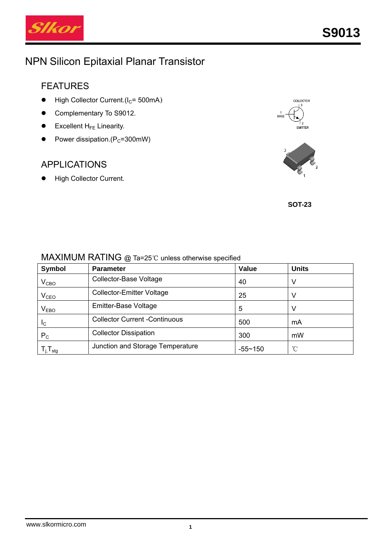

# NPN Silicon Epitaxial Planar Transistor

### FEATURES

- $\bullet$  High Collector Current.(I<sub>C</sub>= 500mA)
- Complementary To S9012.
- Excellent  $H_{FE}$  Linearity.
- Power dissipation.( $P_c$ =300mW)

### APPLICATIONS

 $\bullet$  High Collector Current.



**SOT-23** 

#### MAXIMUM RATING @ Ta=25℃ unless otherwise specified

| Symbol                     | <b>Parameter</b>                     | <b>Value</b> | <b>Units</b> |
|----------------------------|--------------------------------------|--------------|--------------|
| $\rm V_{CBO}$              | Collector-Base Voltage               | 40           | V            |
| V <sub>CEO</sub>           | <b>Collector-Emitter Voltage</b>     | 25           | V            |
| $V_{EBO}$                  | Emitter-Base Voltage                 | 5            | v            |
| <sub>IC</sub>              | <b>Collector Current -Continuous</b> | 500          | mA           |
| $P_{\rm C}$                | <b>Collector Dissipation</b>         | 300          | mW           |
| $T_{j}$ , $T_{\text{stg}}$ | Junction and Storage Temperature     | $-55 - 150$  | °C           |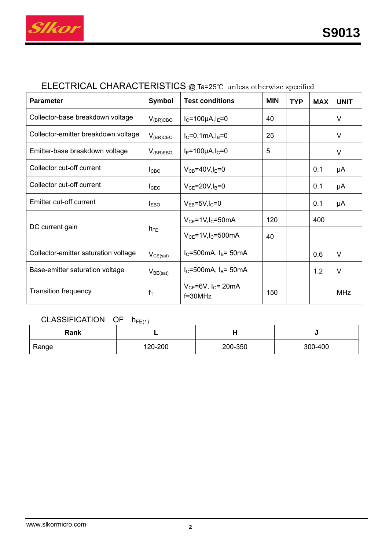

# ELECTRICAL CHARACTERISTICS @ Ta=25℃ unless otherwise specified

| <b>Parameter</b>                     | <b>Symbol</b>    | <b>Test conditions</b>                              | <b>MIN</b> | <b>TYP</b> | <b>MAX</b> | <b>UNIT</b> |
|--------------------------------------|------------------|-----------------------------------------------------|------------|------------|------------|-------------|
| Collector-base breakdown voltage     | $V_{(BR)CBO}$    | $I_C = 100 \mu A, I_E = 0$                          | 40         |            |            | V           |
| Collector-emitter breakdown voltage  | $V_{(BR)CEO}$    | $I_C = 0.1$ mA, $I_B = 0$                           | 25         |            |            | V           |
| Emitter-base breakdown voltage       | $V_{(BR)EBO}$    | $I_{E} = 100 \mu A I_{C} = 0$                       | 5          |            |            | V           |
| Collector cut-off current            | l <sub>CBO</sub> | $V_{CB} = 40V, I_E = 0$                             |            |            | 0.1        | μA          |
| Collector cut-off current            | I <sub>CEO</sub> | $V_{CE}$ =20V, $I_B$ =0                             |            |            | 0.1        | μA          |
| Emitter cut-off current              | $I_{EBO}$        | $V_{EB} = 5V, I_C = 0$                              |            |            | 0.1        | μA          |
|                                      | $h_{FE}$         | $V_{CE}$ =1V, I <sub>C</sub> =50mA                  | 120        |            | 400        |             |
| DC current gain                      |                  | $V_{CE}$ =1V, I <sub>C</sub> =500mA                 | 40         |            |            |             |
| Collector-emitter saturation voltage | $V_{CE(sat)}$    | $I_C = 500 \text{mA}$ , $I_B = 50 \text{mA}$        |            |            | 0.6        | V           |
| Base-emitter saturation voltage      | $V_{BE(sat)}$    | $I_C = 500$ mA, $I_B = 50$ mA                       |            |            | 1.2        | $\vee$      |
| <b>Transition frequency</b>          | $f_T$            | $V_{CE}$ =6V, I <sub>C</sub> = 20mA<br>$f = 30$ MHz | 150        |            |            | <b>MHz</b>  |

### $CLASSIFICATION OF h<sub>FE(1)</sub>$

| Rank  |         |         |         |
|-------|---------|---------|---------|
| Range | 120-200 | 200-350 | 300-400 |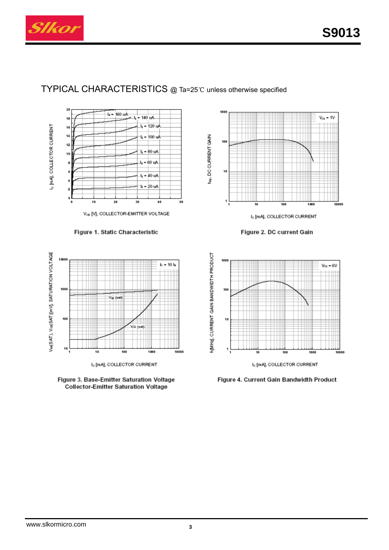

#### TYPICAL CHARACTERISTICS @ Ta=25℃ unless otherwise specified



Figure 1. Static Characteristic



I<sub>c</sub> [mA], COLLECTOR CURRENT



100  $V_{\text{CE}} = 10$ hr, DC CURRENT GAIN 100 10 ١ 100 1000 10000 I<sub>c</sub> [mA], COLLECTOR CURRENT

Figure 2. DC current Gain



Figure 4. Current Gain Bandwidth Product